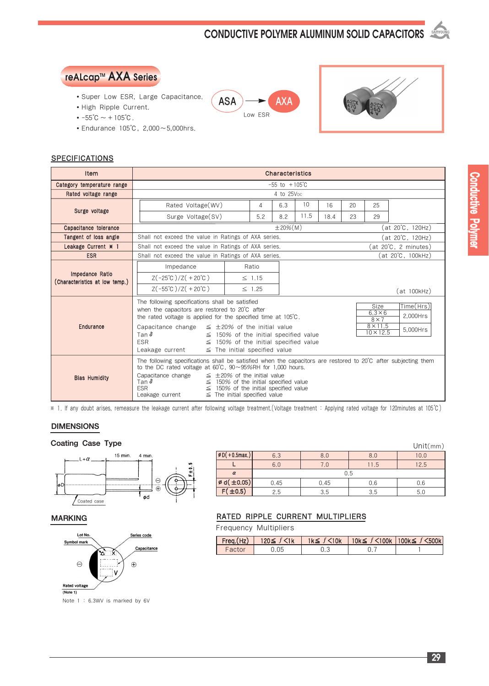## **CONDUCTIVE POLYMER ALUMINUM SOLID CAPACITORS**



- Super Low ESR, Large Capacitance.
- High Ripple Current.
- $-55^{\circ}C \sim +105^{\circ}C$ .
- Endurance 105℃, 2,000~5,000hrs.

#### **SPECIFICATIONS**

| Item                                              | Characteristics                                                                                                                                                                                                                                                                                                                                                                                                                                       |                                                                         |             |      |      |    |                  |             |  |
|---------------------------------------------------|-------------------------------------------------------------------------------------------------------------------------------------------------------------------------------------------------------------------------------------------------------------------------------------------------------------------------------------------------------------------------------------------------------------------------------------------------------|-------------------------------------------------------------------------|-------------|------|------|----|------------------|-------------|--|
| Category temperature range                        | $-55$ to $+105^{\circ}$ C                                                                                                                                                                                                                                                                                                                                                                                                                             |                                                                         |             |      |      |    |                  |             |  |
| Rated voltage range                               | 4 to 25V <sub>pc</sub>                                                                                                                                                                                                                                                                                                                                                                                                                                |                                                                         |             |      |      |    |                  |             |  |
|                                                   | Rated Voltage (WV)                                                                                                                                                                                                                                                                                                                                                                                                                                    | 4                                                                       | 6.3         | 10   | 16   | 20 | 25               |             |  |
| Surge voltage                                     | Surge Voltage(SV)                                                                                                                                                                                                                                                                                                                                                                                                                                     | 5.2                                                                     | 8.2         | 11.5 | 18.4 | 23 | 29               |             |  |
| Capacitance tolerance                             |                                                                                                                                                                                                                                                                                                                                                                                                                                                       |                                                                         | $±20\%$ (M) |      |      |    | (at 20°C, 120Hz) |             |  |
| Tangent of loss angle                             |                                                                                                                                                                                                                                                                                                                                                                                                                                                       | Shall not exceed the value in Ratings of AXA series.<br>at 20°C, 120Hz) |             |      |      |    |                  |             |  |
| Leakage Current * 1                               | (at 20°C, 2 minutes)<br>Shall not exceed the value in Ratings of AXA series.                                                                                                                                                                                                                                                                                                                                                                          |                                                                         |             |      |      |    |                  |             |  |
| <b>ESR</b>                                        | (at 20°C, 100kHz)<br>Shall not exceed the value in Ratings of AXA series.                                                                                                                                                                                                                                                                                                                                                                             |                                                                         |             |      |      |    |                  |             |  |
|                                                   | Impedance                                                                                                                                                                                                                                                                                                                                                                                                                                             | Ratio                                                                   |             |      |      |    |                  |             |  |
| Impedance Ratio<br>(Characteristics at low temp.) | $Z(-25^{\circ}\text{C})/Z(+20^{\circ}\text{C})$                                                                                                                                                                                                                                                                                                                                                                                                       | $\leq$ 1.15                                                             |             |      |      |    |                  |             |  |
|                                                   | $Z(-55^{\circ}C)/Z(+20^{\circ}C)$                                                                                                                                                                                                                                                                                                                                                                                                                     | $\leq$ 1.25                                                             |             |      |      |    |                  | (at 100kHz) |  |
| Endurance                                         | The following specifications shall be satisfied<br>Time(Hrs)<br>Size<br>when the capacitors are restored to 20°C after<br>$6.3 \times 6$<br>2,000Hrs<br>the rated voltage is applied for the specified time at 105°C.<br>$8 \times 7$                                                                                                                                                                                                                 |                                                                         |             |      |      |    |                  |             |  |
|                                                   | $8 \times 11.5$<br>$\leq$ ±20% of the initial value<br>Capacitance change<br>5,000Hrs<br>$10 \times 12.5$<br>Tan $\delta$<br>$\leq$ 150% of the initial specified value<br><b>ESR</b><br>$\leq$ 150% of the initial specified value<br>$\leq$ The initial specified value<br>Leakage current                                                                                                                                                          |                                                                         |             |      |      |    |                  |             |  |
| <b>Blas Humidity</b>                              | The following specifications shall be satisfied when the capacitors are restored to $20^{\circ}$ C after subjecting them<br>to the DC rated voltage at $60^{\circ}$ C, $90\sim 95\%$ RH for 1,000 hours.<br>Capacitance change<br>$\leq$ ±20% of the initial value<br>Tan $\delta$<br>$\leq$ 150% of the initial specified value<br><b>ESR</b><br>$\leq$ 150% of the initial specified value<br>Leakage current<br>$\leq$ The initial specified value |                                                                         |             |      |      |    |                  |             |  |

 $ASA$   $\rightarrow$   $AXA$ Low ESR

※ 1 . If any doubt arises, remeasure the leakage current after following voltage treatment.(Voltage treatment : Applying rated voltage for 120minutes at 105℃)

#### DIMENSIONS

#### Coating Case Type Unit(mm)



#### MARKING



Note 1 : 6.3WV is marked by 6V

|                             |      |      |      | UIIIU(IIIII) |  |  |  |
|-----------------------------|------|------|------|--------------|--|--|--|
| $\emptyset$ D( + 0.5max.)   | 6.3  | 8.0  | 8.0  | 10.0         |  |  |  |
|                             | 6.0  | 7.0  | 11.5 | 12.5         |  |  |  |
| $\alpha$                    | 0.5  |      |      |              |  |  |  |
| $\emptyset$ d( $\pm 0.05$ ) | 0.45 | 0.45 | 0.6  | 0.6          |  |  |  |
| $F(\pm 0.5)$                | 2.5  | 3.5  | 3.5  | 5.0          |  |  |  |

#### RATED RIPPLE CURRENT MULTIPLIERS

Frequency Multipliers

| $ $ Freq.(Hz) $ $ | 120≤ f $≤1k$ |  | 1k≦ $f$ <10k   10k≦ $f$ <100k   100k≦ $f$ <500k |
|-------------------|--------------|--|-------------------------------------------------|
| Factor            |              |  |                                                 |